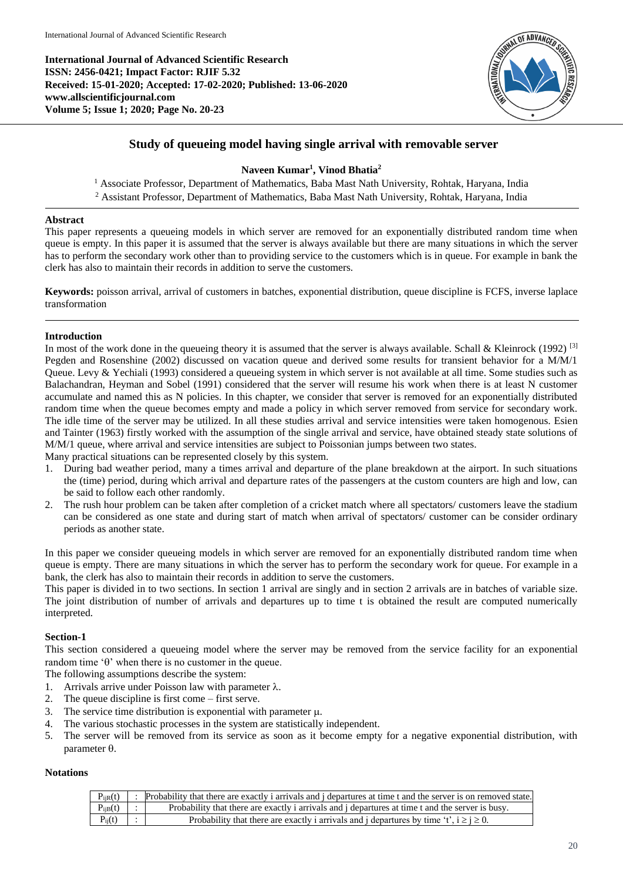**International Journal of Advanced Scientific Research ISSN: 2456-0421; Impact Factor: RJIF 5.32 Received: 15-01-2020; Accepted: 17-02-2020; Published: 13-06-2020 www.allscientificjournal.com Volume 5; Issue 1; 2020; Page No. 20-23**



## **Study of queueing model having single arrival with removable server**

## **Naveen Kumar<sup>1</sup> , Vinod Bhatia<sup>2</sup>**

<sup>1</sup> Associate Professor, Department of Mathematics, Baba Mast Nath University, Rohtak, Haryana, India <sup>2</sup> Assistant Professor, Department of Mathematics, Baba Mast Nath University, Rohtak, Haryana, India

## **Abstract**

This paper represents a queueing models in which server are removed for an exponentially distributed random time when queue is empty. In this paper it is assumed that the server is always available but there are many situations in which the server has to perform the secondary work other than to providing service to the customers which is in queue. For example in bank the clerk has also to maintain their records in addition to serve the customers.

**Keywords:** poisson arrival, arrival of customers in batches, exponential distribution, queue discipline is FCFS, inverse laplace transformation

## **Introduction**

In most of the work done in the queueing theory it is assumed that the server is always available. Schall & Kleinrock (1992) <sup>[3]</sup> Pegden and Rosenshine (2002) discussed on vacation queue and derived some results for transient behavior for a M/M/1 Queue. Levy & Yechiali (1993) considered a queueing system in which server is not available at all time. Some studies such as Balachandran, Heyman and Sobel (1991) considered that the server will resume his work when there is at least N customer accumulate and named this as N policies. In this chapter, we consider that server is removed for an exponentially distributed random time when the queue becomes empty and made a policy in which server removed from service for secondary work. The idle time of the server may be utilized. In all these studies arrival and service intensities were taken homogenous. Esien and Tainter (1963) firstly worked with the assumption of the single arrival and service, have obtained steady state solutions of M/M/1 queue, where arrival and service intensities are subject to Poissonian jumps between two states.

Many practical situations can be represented closely by this system.

- 1. During bad weather period, many a times arrival and departure of the plane breakdown at the airport. In such situations the (time) period, during which arrival and departure rates of the passengers at the custom counters are high and low, can be said to follow each other randomly.
- 2. The rush hour problem can be taken after completion of a cricket match where all spectators/ customers leave the stadium can be considered as one state and during start of match when arrival of spectators/ customer can be consider ordinary periods as another state.

In this paper we consider queueing models in which server are removed for an exponentially distributed random time when queue is empty. There are many situations in which the server has to perform the secondary work for queue. For example in a bank, the clerk has also to maintain their records in addition to serve the customers.

This paper is divided in to two sections. In section 1 arrival are singly and in section 2 arrivals are in batches of variable size. The joint distribution of number of arrivals and departures up to time t is obtained the result are computed numerically interpreted.

## **Section-1**

This section considered a queueing model where the server may be removed from the service facility for an exponential random time ' $\theta$ ' when there is no customer in the queue.

The following assumptions describe the system:

- 1. Arrivals arrive under Poisson law with parameter  $\lambda$ .
- 2. The queue discipline is first come first serve.
- 3. The service time distribution is exponential with parameter  $\mu$ .
- 4. The various stochastic processes in the system are statistically independent.
- 5. The server will be removed from its service as soon as it become empty for a negative exponential distribution, with parameter  $\theta$ .

#### **Notations**

| $P_{i\text{iR}}(t)$ | Probability that there are exactly i arrivals and j departures at time t and the server is on removed state. |
|---------------------|--------------------------------------------------------------------------------------------------------------|
| $P_{i B}(t)$ :      | Probability that there are exactly i arrivals and j departures at time t and the server is busy.             |
| $P_{ij}(t)$         | Probability that there are exactly i arrivals and j departures by time 't', $i \ge j \ge 0$ .                |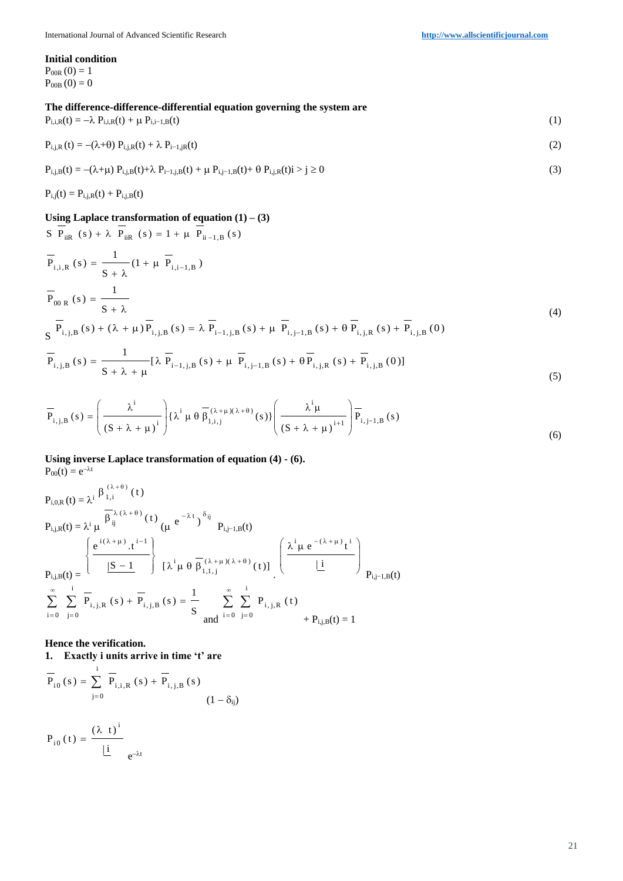#### **Initial condition**

 $P_{00R}(0) = 1$  $P_{00B} (0) = 0$ 

## **The difference-difference-differential equation governing the system are**  $P_{i,i,R}(t) = -\lambda P_{i,i,R}(t) + \mu P_{i,i-1,B}(t)$  (1)

$$
P_{i,j,R}(t) = -(\lambda + \theta) P_{i,j,R}(t) + \lambda P_{i-1,jR}(t)
$$
\n(2)

$$
P_{i,j,B}(t) = -(\lambda + \mu) P_{i,j,B}(t) + \lambda P_{i-1,j,B}(t) + \mu P_{i,j-1,B}(t) + \theta P_{i,j,R}(t) \quad i \ge j \ge 0
$$
\n(3)

 $P_{i,j}(t) = P_{i,j,R}(t) + P_{i,j,B}(t)$ 

## **Using Laplace transformation of equation (1) – (3)**

$$
S P_{iik}(s) + \lambda P_{iik}(s) = 1 + \mu P_{i_{i-1},B}(s)
$$
  
\n
$$
\overline{P}_{i,i,R}(s) = \frac{1}{S + \lambda} (1 + \mu \overline{P}_{i,i-1,B})
$$
  
\n
$$
\overline{P}_{00 R}(s) = \frac{1}{S + \lambda}
$$
  
\n
$$
S \overline{P}_{i,j,B}(s) + (\lambda + \mu) \overline{P}_{i,j,B}(s) = \lambda \overline{P}_{i-1,j,B}(s) + \mu \overline{P}_{i,j-1,B}(s) + \theta \overline{P}_{i,j,R}(s) + \overline{P}_{i,j,B}(0)
$$
\n(4)

$$
\overline{P}_{i,j,B}(s) = \frac{1}{S + \lambda + \mu} [\lambda \overline{P}_{i-1,j,B}(s) + \mu \overline{P}_{i,j-1,B}(s) + \theta \overline{P}_{i,j,R}(s) + \overline{P}_{i,j,B}(0)]
$$
\n(5)

$$
\overline{P}_{i,j,B}(s) = \left(\frac{\lambda^{i}}{(S+\lambda+\mu)^{i}}\right) \{\lambda^{i} \mu \theta \overline{\beta}_{1,i,j}^{(\lambda+\mu)(\lambda+\theta)}(s)\} \left(\frac{\lambda^{i}\mu}{(S+\lambda+\mu)^{i+1}}\right) \overline{P}_{i,j-1,B}(s)
$$
\n(6)

# **Using inverse Laplace transformation of equation (4) - (6).**

 $P_{00}(t) = e^{-\lambda t}$ 

$$
P_{i,j,R}(t) = \lambda^{i} \frac{\beta_{1,i}^{(\lambda+\theta)}(t)}{\beta_{ij}^{(\lambda+\theta)}(t)} \frac{(\mu e^{-\lambda t})^{\delta_{ij}}}{(\mu e^{-\lambda t})^{\delta_{ij}}} P_{i,j-1,B}(t)
$$
\n
$$
P_{i,j,R}(t) = \frac{\left\{ \frac{e^{i(\lambda+\mu)} \cdot t^{i-1}}{|S-1|} \right\}}{|\Sigma-1|} \left\{ \frac{\lambda^{i} \mu e^{-(\lambda+\mu)t^{i}}}{[\lambda^{i} \mu \theta \overline{\beta_{1,1,j}}^{(\lambda+\mu)(\lambda+\theta)}(t)]} \left( \frac{\lambda^{i} \mu e^{-(\lambda+\mu)t^{i}}}{\underline{\mu}} \right) \right\}
$$
\n
$$
\sum_{i=0}^{\infty} \sum_{j=0}^{i} \overline{P}_{i,j,R}(s) + \overline{P}_{i,j,B}(s) = \frac{1}{S} \sum_{i=0}^{\infty} \sum_{j=0}^{i} P_{i,j,R}(t) + P_{i,j,B}(t) = 1
$$

**Hence the verification.** 

**1. Exactly i units arrive in time 't' are** i

$$
\overline{P}_{i0}(s) = \sum_{j=0}^{I} \overline{P}_{i,i,R}(s) + \overline{P}_{i,j,B}(s)
$$
\n(1 - \delta\_{ij})

$$
P_{i0}(t) = \frac{(\lambda t)^{1}}{|\underline{i}|} e^{-\lambda t}
$$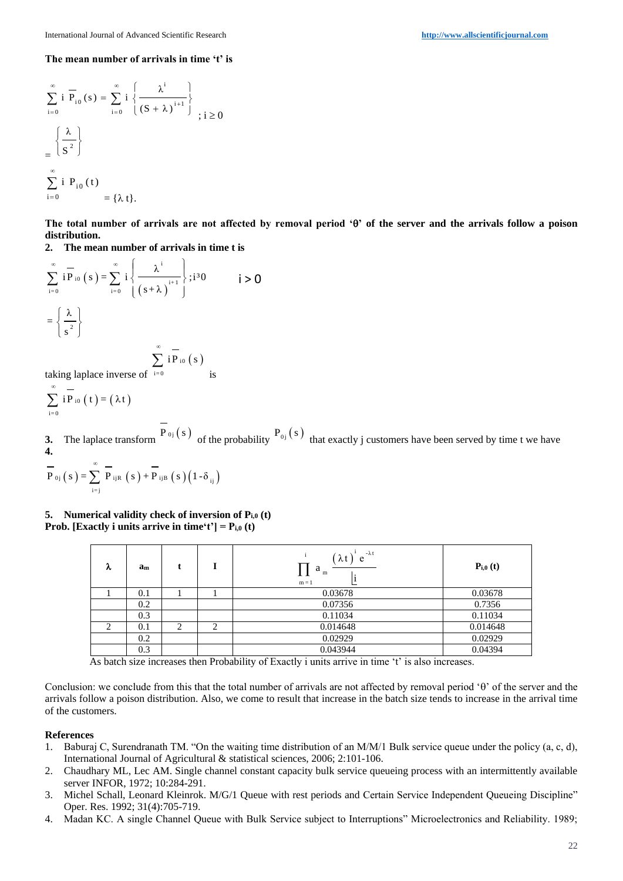#### **The mean number of arrivals in time 't' is**

$$
\sum_{i=0}^{\infty} i \overline{P}_{i0}(s) = \sum_{i=0}^{\infty} i \left\{ \frac{\lambda^{i}}{(S + \lambda)^{i+1}} \right\}
$$
  
= 
$$
\left\{ \frac{\lambda}{S^{2}} \right\}
$$
  

$$
\sum_{i=0}^{\infty} i P_{i0}(t)
$$
  
= 
$$
\{\lambda t\}.
$$

The total number of arrivals are not affected by removal period ' $\theta$ ' of the server and the arrivals follow a poison **distribution.**

**2. The mean number of arrivals in time t is**

$$
\sum_{i=0}^{\infty} i \overline{P}_{i0}(s) = \sum_{i=0}^{\infty} i \left\{ \frac{\lambda^{i}}{(s+\lambda)^{i+1}} \right\}; i^{3}0 \qquad i > 0
$$

$$
= \left\{ \frac{\lambda}{s^{2}} \right\}
$$

$$
\sum_{\mathbf{f}} \, \overline{\mathbf{i} \, \mathbf{P}}_{\mathbf{i} \mathbf{0}} \, (\mathbf{s}) \, \overline{\mathbf{i} \, \mathbf{s}}
$$

taking laplace inverse of  $i=0$ 

 $_{10}(t) = (\lambda t)$  $i = 0$  $\sum i P_{i0}(t) = (\lambda t)$ œ

**3.** The laplace transform  $P_{0j}(s)$  of the probability  $P_{0j}(s)$  that exactly j customers have been served by time t we have **4.** œ

$$
\overline{P}_{0j} (s) = \sum_{i=j}^{\infty} \overline{P}_{ijk} (s) + \overline{P}_{ijk} (s) (1-\delta_{ij})
$$

**5. Numerical validity check of inversion of Pi,0 (t) Prob.** [Exactly **i** units arrive in time't'] =  $P_{i,0}$  (t)

| λ | $a_m$ |   |   | $-\lambda t$<br>$\lambda t$<br>e<br>a<br>m<br>$m = 1$ | $P_{i,0}(t)$ |
|---|-------|---|---|-------------------------------------------------------|--------------|
|   | 0.1   |   |   | 0.03678                                               | 0.03678      |
|   | 0.2   |   |   | 0.07356                                               | 0.7356       |
|   | 0.3   |   |   | 0.11034                                               | 0.11034      |
| 2 | 0.1   | 2 | ∍ | 0.014648                                              | 0.014648     |
|   | 0.2   |   |   | 0.02929                                               | 0.02929      |
|   | 0.3   |   |   | 0.043944                                              | 0.04394      |

As batch size increases then Probability of Exactly i units arrive in time 't' is also increases.

Conclusion: we conclude from this that the total number of arrivals are not affected by removal period ' $\theta$ ' of the server and the arrivals follow a poison distribution. Also, we come to result that increase in the batch size tends to increase in the arrival time of the customers.

#### **References**

- 1. Baburaj C, Surendranath TM. "On the waiting time distribution of an M/M/1 Bulk service queue under the policy (a, c, d), International Journal of Agricultural & statistical sciences, 2006; 2:101-106.
- 2. Chaudhary ML, Lec AM. Single channel constant capacity bulk service queueing process with an intermittently available server INFOR, 1972; 10:284-291.
- 3. Michel Schall, Leonard Kleinrok. M/G/1 Queue with rest periods and Certain Service Independent Queueing Discipline" Oper. Res. 1992; 31(4):705-719.
- 4. Madan KC. A single Channel Queue with Bulk Service subject to Interruptions" Microelectronics and Reliability. 1989;